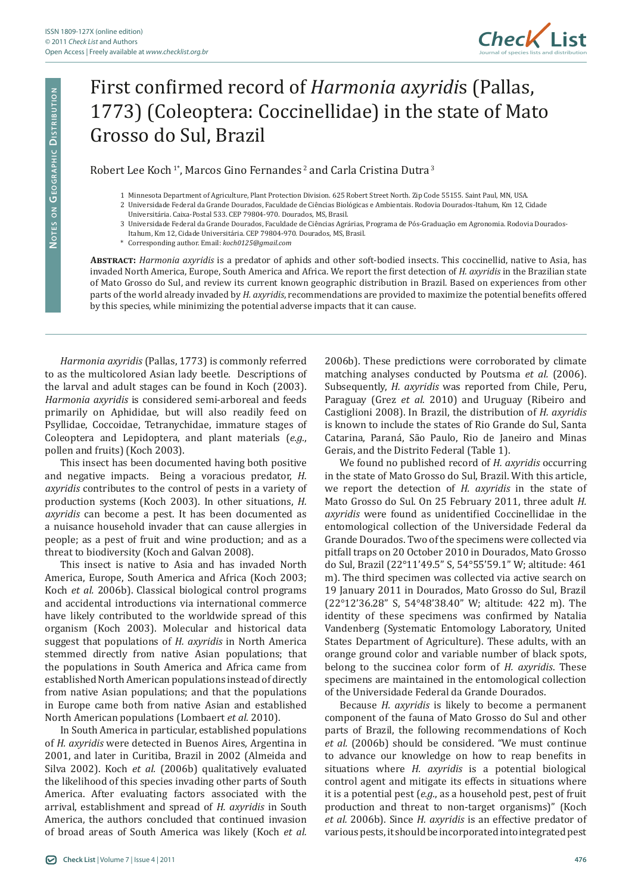

## First confirmed record of *Harmonia axyridi*s (Pallas, 1773) (Coleoptera: Coccinellidae) in the state of Mato Grosso do Sul, Brazil

## Robert Lee Koch<sup>1\*</sup>, Marcos Gino Fernandes<sup>2</sup> and Carla Cristina Dutra<sup>3</sup>

- 1 Minnesota Department of Agriculture, Plant Protection Division. 625 Robert Street North. Zip Code 55155. Saint Paul, MN, USA.
- 2 Universidade Federal da Grande Dourados, Faculdade de Ciências Biológicas e Ambientais. Rodovia Dourados-Itahum, Km 12, Cidade
- Universitária. Caixa-Postal 533. CEP 79804-970. Dourados, MS, Brasil.
- 3 Universidade Federal da Grande Dourados, Faculdade de Ciências Agrárias, Programa de Pós-Graduação em Agronomia. Rodovia Dourados-
- Itahum, Km 12, Cidade Universitária. CEP 79804-970. Dourados, MS, Brasil.
- \* Corresponding author. Email: *koch0125@gmail.com*

**Abstract:** *Harmonia axyridis* is a predator of aphids and other soft-bodied insects. This coccinellid, native to Asia, has invaded North America, Europe, South America and Africa. We report the first detection of *H. axyridis* in the Brazilian state of Mato Grosso do Sul, and review its current known geographic distribution in Brazil. Based on experiences from other parts of the world already invaded by *H. axyridis*, recommendations are provided to maximize the potential benefits offered by this species, while minimizing the potential adverse impacts that it can cause.

*Harmonia axyridis* (Pallas, 1773) is commonly referred to as the multicolored Asian lady beetle. Descriptions of the larval and adult stages can be found in Koch (2003). *Harmonia axyridis* is considered semi-arboreal and feeds primarily on Aphididae, but will also readily feed on Psyllidae, Coccoidae, Tetranychidae, immature stages of Coleoptera and Lepidoptera, and plant materials (*e.g.*, pollen and fruits) (Koch 2003).

This insect has been documented having both positive and negative impacts. Being a voracious predator, *H. axyridis* contributes to the control of pests in a variety of production systems (Koch 2003). In other situations, *H. axyridis* can become a pest. It has been documented as a nuisance household invader that can cause allergies in people; as a pest of fruit and wine production; and as a threat to biodiversity (Koch and Galvan 2008).

This insect is native to Asia and has invaded North America, Europe, South America and Africa (Koch 2003; Koch *et al.* 2006b). Classical biological control programs and accidental introductions via international commerce have likely contributed to the worldwide spread of this organism (Koch 2003). Molecular and historical data suggest that populations of *H. axyridis* in North America stemmed directly from native Asian populations; that the populations in South America and Africa came from established North American populations instead of directly from native Asian populations; and that the populations in Europe came both from native Asian and established North American populations (Lombaert *et al.* 2010).

In South America in particular, established populations of *H. axyridis* were detected in Buenos Aires, Argentina in 2001, and later in Curitiba, Brazil in 2002 (Almeida and Silva 2002). Koch *et al.* (2006b) qualitatively evaluated the likelihood of this species invading other parts of South America. After evaluating factors associated with the arrival, establishment and spread of *H. axyridis* in South America, the authors concluded that continued invasion of broad areas of South America was likely (Koch *et al.*

2006b). These predictions were corroborated by climate matching analyses conducted by Poutsma *et al.* (2006). Subsequently, *H. axyridis* was reported from Chile, Peru, Paraguay (Grez *et al.* 2010) and Uruguay (Ribeiro and Castiglioni 2008). In Brazil, the distribution of *H. axyridis* is known to include the states of Rio Grande do Sul, Santa Catarina, Paraná, São Paulo, Rio de Janeiro and Minas Gerais, and the Distrito Federal (Table 1).

We found no published record of *H. axyridis* occurring in the state of Mato Grosso do Sul, Brazil. With this article, we report the detection of *H. axyridis* in the state of Mato Grosso do Sul. On 25 February 2011, three adult *H. axyridis* were found as unidentified Coccinellidae in the entomological collection of the Universidade Federal da Grande Dourados. Two of the specimens were collected via pitfall traps on 20 October 2010 in Dourados, Mato Grosso do Sul, Brazil (22°11'49.5" S, 54°55'59.1" W; altitude: 461 m). The third specimen was collected via active search on 19 January 2011 in Dourados, Mato Grosso do Sul, Brazil (22°12'36.28" S, 54°48'38.40" W; altitude: 422 m). The identity of these specimens was confirmed by Natalia Vandenberg (Systematic Entomology Laboratory, United States Department of Agriculture). These adults, with an orange ground color and variable number of black spots, belong to the succinea color form of *H. axyridis*. These specimens are maintained in the entomological collection of the Universidade Federal da Grande Dourados.

Because *H. axyridis* is likely to become a permanent component of the fauna of Mato Grosso do Sul and other parts of Brazil, the following recommendations of Koch *et al.* (2006b) should be considered. "We must continue to advance our knowledge on how to reap benefits in situations where *H. axyridis* is a potential biological control agent and mitigate its effects in situations where it is a potential pest (*e.g.*, as a household pest, pest of fruit production and threat to non-target organisms)" (Koch *et al.* 2006b). Since *H. axyridis* is an effective predator of various pests, it should be incorporated into integrated pest